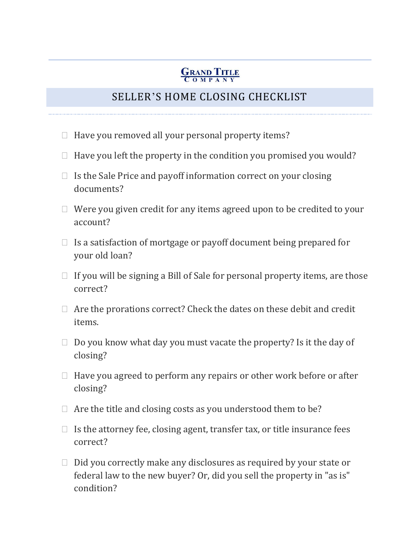## **GRAND TITLE**

## SELLER'S HOME CLOSING CHECKLIST

- $\Box$  Have you removed all your personal property items?
- $\Box$  Have you left the property in the condition you promised you would?
- $\Box$  Is the Sale Price and payoff information correct on your closing documents?
- $\Box$  Were you given credit for any items agreed upon to be credited to your account?
- $\Box$  Is a satisfaction of mortgage or payoff document being prepared for your old loan?
- $\Box$  If you will be signing a Bill of Sale for personal property items, are those correct?
- $\Box$  Are the prorations correct? Check the dates on these debit and credit items.
- $\Box$  Do you know what day you must vacate the property? Is it the day of closing?
- $\Box$  Have you agreed to perform any repairs or other work before or after closing?
- $\Box$  Are the title and closing costs as you understood them to be?
- $\Box$  Is the attorney fee, closing agent, transfer tax, or title insurance fees correct?
- $\Box$  Did you correctly make any disclosures as required by your state or federal law to the new buyer? Or, did you sell the property in "as is" condition?